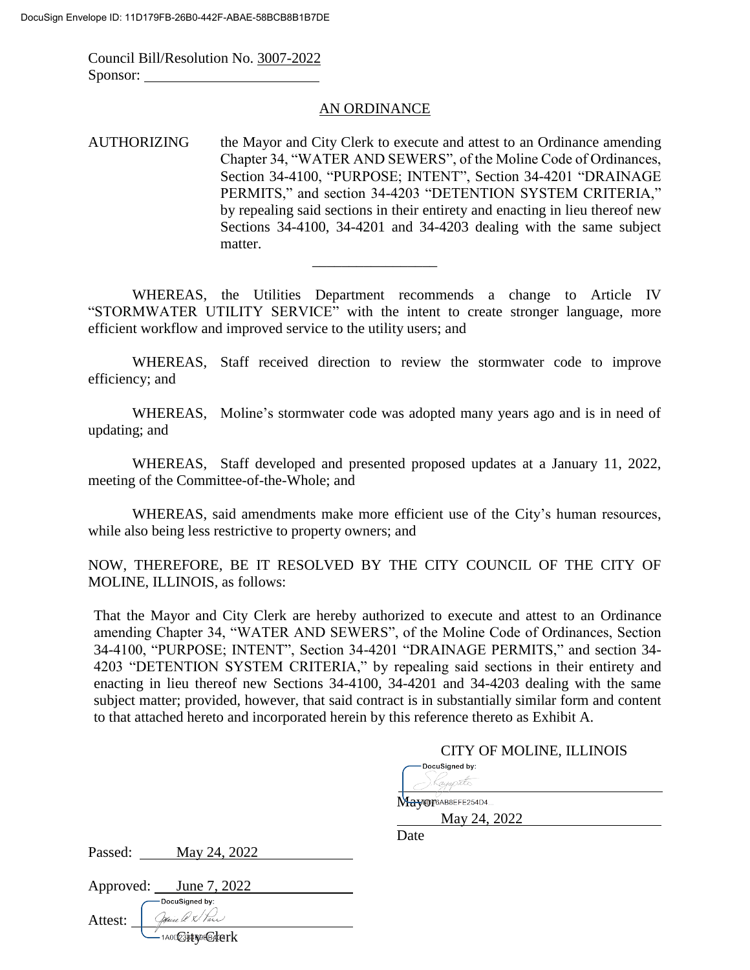Attest:

1AODC3PHR9HE4Rerk

Council Bill/Resolution No. 3007-2022 Sponsor:

#### AN ORDINANCE

AUTHORIZING the Mayor and City Clerk to execute and attest to an Ordinance amending Chapter 34, "WATER AND SEWERS", of the Moline Code of Ordinances, Section 34-4100, "PURPOSE; INTENT", Section 34-4201 "DRAINAGE PERMITS," and section 34-4203 "DETENTION SYSTEM CRITERIA," by repealing said sections in their entirety and enacting in lieu thereof new Sections 34-4100, 34-4201 and 34-4203 dealing with the same subject matter.

WHEREAS, the Utilities Department recommends a change to Article IV "STORMWATER UTILITY SERVICE" with the intent to create stronger language, more efficient workflow and improved service to the utility users; and

\_\_\_\_\_\_\_\_\_\_\_\_\_\_\_\_\_

 WHEREAS, Staff received direction to review the stormwater code to improve efficiency; and

WHEREAS, Moline's stormwater code was adopted many years ago and is in need of updating; and

WHEREAS, Staff developed and presented proposed updates at a January 11, 2022, meeting of the Committee-of-the-Whole; and

WHEREAS, said amendments make more efficient use of the City's human resources, while also being less restrictive to property owners; and

NOW, THEREFORE, BE IT RESOLVED BY THE CITY COUNCIL OF THE CITY OF MOLINE, ILLINOIS, as follows:

That the Mayor and City Clerk are hereby authorized to execute and attest to an Ordinance amending Chapter 34, "WATER AND SEWERS", of the Moline Code of Ordinances, Section 34-4100, "PURPOSE; INTENT", Section 34-4201 "DRAINAGE PERMITS," and section 34- 4203 "DETENTION SYSTEM CRITERIA," by repealing said sections in their entirety and enacting in lieu thereof new Sections 34-4100, 34-4201 and 34-4203 dealing with the same subject matter; provided, however, that said contract is in substantially similar form and content to that attached hereto and incorporated herein by this reference thereto as Exhibit A.

|                             | CITY OF MOLINE, ILLINOIS |
|-----------------------------|--------------------------|
|                             | DocuSigned by:<br>aisona |
|                             | Mayor6AB8EFE254D4        |
|                             | May 24, 2022             |
|                             | Date                     |
| Passed:<br>May 24, 2022     |                          |
|                             |                          |
| Approved:<br>June 7, 2022   |                          |
| -DocuSigned by:             |                          |
| Jaine Q. X. Pare<br>Attest: |                          |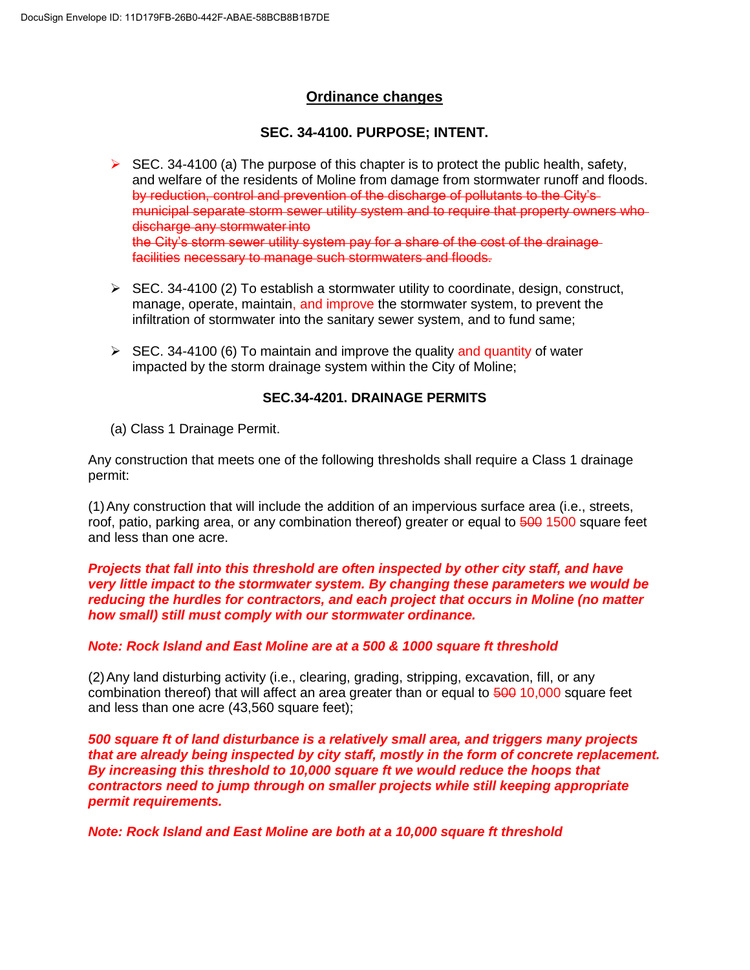# **Ordinance changes**

# **SEC. 34-4100. PURPOSE; INTENT.**

- $\triangleright$  SEC. 34-4100 (a) The purpose of this chapter is to protect the public health, safety, and welfare of the residents of Moline from damage from stormwater runoff and floods. by reduction, control and prevention of the discharge of pollutants to the City'smunicipal separate storm sewer utility system and to require that property owners who discharge any stormwater into the City's storm sewer utility system pay for a share of the cost of the drainage facilities necessary to manage such stormwaters and floods.
- $\triangleright$  SEC. 34-4100 (2) To establish a stormwater utility to coordinate, design, construct, manage, operate, maintain, and improve the stormwater system, to prevent the infiltration of stormwater into the sanitary sewer system, and to fund same;
- $\triangleright$  SEC. 34-4100 (6) To maintain and improve the quality and quantity of water impacted by the storm drainage system within the City of Moline;

# **SEC.34-4201. DRAINAGE PERMITS**

(a) Class 1 Drainage Permit.

Any construction that meets one of the following thresholds shall require a Class 1 drainage permit:

(1)Any construction that will include the addition of an impervious surface area (i.e., streets, roof, patio, parking area, or any combination thereof) greater or equal to 500 1500 square feet and less than one acre.

#### *Projects that fall into this threshold are often inspected by other city staff, and have very little impact to the stormwater system. By changing these parameters we would be reducing the hurdles for contractors, and each project that occurs in Moline (no matter how small) still must comply with our stormwater ordinance.*

## *Note: Rock Island and East Moline are at a 500 & 1000 square ft threshold*

(2)Any land disturbing activity (i.e., clearing, grading, stripping, excavation, fill, or any combination thereof) that will affect an area greater than or equal to 500 10,000 square feet and less than one acre (43,560 square feet);

*500 square ft of land disturbance is a relatively small area, and triggers many projects that are already being inspected by city staff, mostly in the form of concrete replacement. By increasing this threshold to 10,000 square ft we would reduce the hoops that contractors need to jump through on smaller projects while still keeping appropriate permit requirements.*

*Note: Rock Island and East Moline are both at a 10,000 square ft threshold*